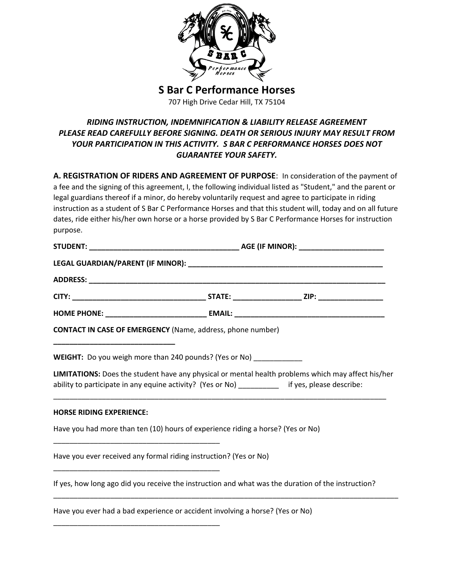

**S Bar C Performance Horses**

707 High Drive Cedar Hill, TX 75104

## *RIDING INSTRUCTION, INDEMNIFICATION & LIABILITY RELEASE AGREEMENT PLEASE READ CAREFULLY BEFORE SIGNING. DEATH OR SERIOUS INJURY MAY RESULT FROM YOUR PARTICIPATION IN THIS ACTIVITY. S BAR C PERFORMANCE HORSES DOES NOT GUARANTEE YOUR SAFETY.*

**A. REGISTRATION OF RIDERS AND AGREEMENT OF PURPOSE**: In consideration of the payment of a fee and the signing of this agreement, I, the following individual listed as "Student," and the parent or legal guardians thereof if a minor, do hereby voluntarily request and agree to participate in riding instruction as a student of S Bar C Performance Horses and that this student will, today and on all future dates, ride either his/her own horse or a horse provided by S Bar C Performance Horses for instruction purpose.

|                                 | <b>CONTACT IN CASE OF EMERGENCY</b> (Name, address, phone number)                                  |                                                                                                    |
|---------------------------------|----------------------------------------------------------------------------------------------------|----------------------------------------------------------------------------------------------------|
|                                 | WEIGHT: Do you weigh more than 240 pounds? (Yes or No) ____________                                |                                                                                                    |
|                                 | ability to participate in any equine activity? (Yes or No) _________ if yes, please describe:      | LIMITATIONS: Does the student have any physical or mental health problems which may affect his/her |
| <b>HORSE RIDING EXPERIENCE:</b> |                                                                                                    |                                                                                                    |
|                                 | Have you had more than ten (10) hours of experience riding a horse? (Yes or No)                    |                                                                                                    |
|                                 | Have you ever received any formal riding instruction? (Yes or No)                                  |                                                                                                    |
|                                 | If yes, how long ago did you receive the instruction and what was the duration of the instruction? |                                                                                                    |
|                                 | Have you ever had a bad experience or accident involving a horse? (Yes or No)                      |                                                                                                    |

\_\_\_\_\_\_\_\_\_\_\_\_\_\_\_\_\_\_\_\_\_\_\_\_\_\_\_\_\_\_\_\_\_\_\_\_\_\_\_\_\_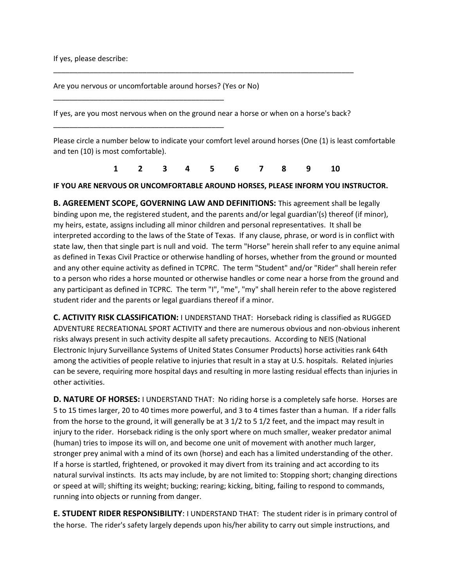If yes, please describe:

Are you nervous or uncomfortable around horses? (Yes or No)

\_\_\_\_\_\_\_\_\_\_\_\_\_\_\_\_\_\_\_\_\_\_\_\_\_\_\_\_\_\_\_\_\_\_\_\_\_\_\_\_\_\_

\_\_\_\_\_\_\_\_\_\_\_\_\_\_\_\_\_\_\_\_\_\_\_\_\_\_\_\_\_\_\_\_\_\_\_\_\_\_\_\_\_\_

If yes, are you most nervous when on the ground near a horse or when on a horse's back?

\_\_\_\_\_\_\_\_\_\_\_\_\_\_\_\_\_\_\_\_\_\_\_\_\_\_\_\_\_\_\_\_\_\_\_\_\_\_\_\_\_\_\_\_\_\_\_\_\_\_\_\_\_\_\_\_\_\_\_\_\_\_\_\_\_\_\_\_\_\_\_\_\_\_

Please circle a number below to indicate your comfort level around horses (One (1) is least comfortable and ten (10) is most comfortable).

**1 2 3 4 5 6 7 8 9 10**

## **IF YOU ARE NERVOUS OR UNCOMFORTABLE AROUND HORSES, PLEASE INFORM YOU INSTRUCTOR.**

**B. AGREEMENT SCOPE, GOVERNING LAW AND DEFINITIONS:** This agreement shall be legally binding upon me, the registered student, and the parents and/or legal guardian'(s) thereof (if minor), my heirs, estate, assigns including all minor children and personal representatives. It shall be interpreted according to the laws of the State of Texas. If any clause, phrase, or word is in conflict with state law, then that single part is null and void. The term "Horse" herein shall refer to any equine animal as defined in Texas Civil Practice or otherwise handling of horses, whether from the ground or mounted and any other equine activity as defined in TCPRC. The term "Student" and/or "Rider" shall herein refer to a person who rides a horse mounted or otherwise handles or come near a horse from the ground and any participant as defined in TCPRC. The term "I", "me", "my" shall herein refer to the above registered student rider and the parents or legal guardians thereof if a minor.

**C. ACTIVITY RISK CLASSIFICATION:** I UNDERSTAND THAT: Horseback riding is classified as RUGGED ADVENTURE RECREATIONAL SPORT ACTIVITY and there are numerous obvious and non-obvious inherent risks always present in such activity despite all safety precautions. According to NEIS (National Electronic Injury Surveillance Systems of United States Consumer Products) horse activities rank 64th among the activities of people relative to injuries that result in a stay at U.S. hospitals. Related injuries can be severe, requiring more hospital days and resulting in more lasting residual effects than injuries in other activities.

**D. NATURE OF HORSES:** I UNDERSTAND THAT: No riding horse is a completely safe horse. Horses are 5 to 15 times larger, 20 to 40 times more powerful, and 3 to 4 times faster than a human. If a rider falls from the horse to the ground, it will generally be at 3 1/2 to 5 1/2 feet, and the impact may result in injury to the rider. Horseback riding is the only sport where on much smaller, weaker predator animal (human) tries to impose its will on, and become one unit of movement with another much larger, stronger prey animal with a mind of its own (horse) and each has a limited understanding of the other. If a horse is startled, frightened, or provoked it may divert from its training and act according to its natural survival instincts. Its acts may include, by are not limited to: Stopping short; changing directions or speed at will; shifting its weight; bucking; rearing; kicking, biting, failing to respond to commands, running into objects or running from danger.

**E. STUDENT RIDER RESPONSIBILITY**: I UNDERSTAND THAT: The student rider is in primary control of the horse. The rider's safety largely depends upon his/her ability to carry out simple instructions, and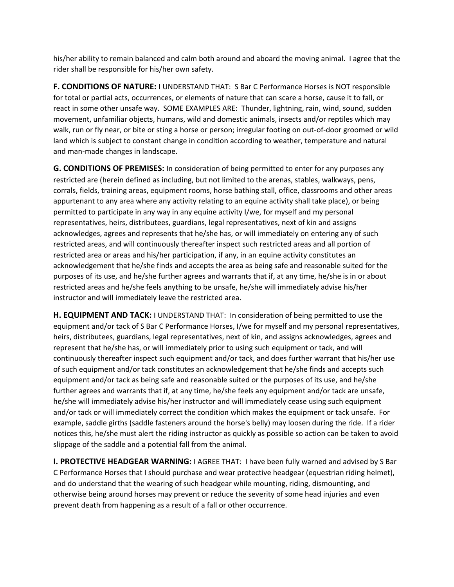his/her ability to remain balanced and calm both around and aboard the moving animal. I agree that the rider shall be responsible for his/her own safety.

**F. CONDITIONS OF NATURE:** I UNDERSTAND THAT: S Bar C Performance Horses is NOT responsible for total or partial acts, occurrences, or elements of nature that can scare a horse, cause it to fall, or react in some other unsafe way. SOME EXAMPLES ARE: Thunder, lightning, rain, wind, sound, sudden movement, unfamiliar objects, humans, wild and domestic animals, insects and/or reptiles which may walk, run or fly near, or bite or sting a horse or person; irregular footing on out-of-door groomed or wild land which is subject to constant change in condition according to weather, temperature and natural and man-made changes in landscape.

**G. CONDITIONS OF PREMISES:** In consideration of being permitted to enter for any purposes any restricted are (herein defined as including, but not limited to the arenas, stables, walkways, pens, corrals, fields, training areas, equipment rooms, horse bathing stall, office, classrooms and other areas appurtenant to any area where any activity relating to an equine activity shall take place), or being permitted to participate in any way in any equine activity I/we, for myself and my personal representatives, heirs, distributees, guardians, legal representatives, next of kin and assigns acknowledges, agrees and represents that he/she has, or will immediately on entering any of such restricted areas, and will continuously thereafter inspect such restricted areas and all portion of restricted area or areas and his/her participation, if any, in an equine activity constitutes an acknowledgement that he/she finds and accepts the area as being safe and reasonable suited for the purposes of its use, and he/she further agrees and warrants that if, at any time, he/she is in or about restricted areas and he/she feels anything to be unsafe, he/she will immediately advise his/her instructor and will immediately leave the restricted area.

**H. EQUIPMENT AND TACK:** I UNDERSTAND THAT: In consideration of being permitted to use the equipment and/or tack of S Bar C Performance Horses, I/we for myself and my personal representatives, heirs, distributees, guardians, legal representatives, next of kin, and assigns acknowledges, agrees and represent that he/she has, or will immediately prior to using such equipment or tack, and will continuously thereafter inspect such equipment and/or tack, and does further warrant that his/her use of such equipment and/or tack constitutes an acknowledgement that he/she finds and accepts such equipment and/or tack as being safe and reasonable suited or the purposes of its use, and he/she further agrees and warrants that if, at any time, he/she feels any equipment and/or tack are unsafe, he/she will immediately advise his/her instructor and will immediately cease using such equipment and/or tack or will immediately correct the condition which makes the equipment or tack unsafe. For example, saddle girths (saddle fasteners around the horse's belly) may loosen during the ride. If a rider notices this, he/she must alert the riding instructor as quickly as possible so action can be taken to avoid slippage of the saddle and a potential fall from the animal.

**I. PROTECTIVE HEADGEAR WARNING:** I AGREE THAT: I have been fully warned and advised by S Bar C Performance Horses that I should purchase and wear protective headgear (equestrian riding helmet), and do understand that the wearing of such headgear while mounting, riding, dismounting, and otherwise being around horses may prevent or reduce the severity of some head injuries and even prevent death from happening as a result of a fall or other occurrence.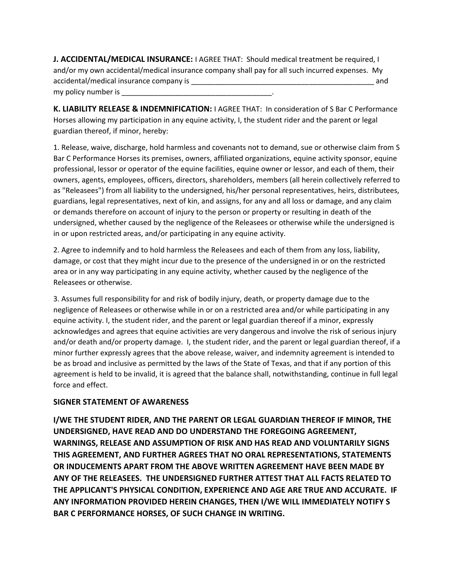**J. ACCIDENTAL/MEDICAL INSURANCE:** I AGREE THAT: Should medical treatment be required, I and/or my own accidental/medical insurance company shall pay for all such incurred expenses. My accidental/medical insurance company is \_\_\_\_\_\_\_\_\_\_\_\_\_\_\_\_\_\_\_\_\_\_\_\_\_\_\_\_\_\_\_\_\_\_\_\_\_\_\_\_\_\_\_\_\_ and my policy number is

**K. LIABILITY RELEASE & INDEMNIFICATION:** I AGREE THAT: In consideration of S Bar C Performance Horses allowing my participation in any equine activity, I, the student rider and the parent or legal guardian thereof, if minor, hereby:

1. Release, waive, discharge, hold harmless and covenants not to demand, sue or otherwise claim from S Bar C Performance Horses its premises, owners, affiliated organizations, equine activity sponsor, equine professional, lessor or operator of the equine facilities, equine owner or lessor, and each of them, their owners, agents, employees, officers, directors, shareholders, members (all herein collectively referred to as "Releasees") from all liability to the undersigned, his/her personal representatives, heirs, distributees, guardians, legal representatives, next of kin, and assigns, for any and all loss or damage, and any claim or demands therefore on account of injury to the person or property or resulting in death of the undersigned, whether caused by the negligence of the Releasees or otherwise while the undersigned is in or upon restricted areas, and/or participating in any equine activity.

2. Agree to indemnify and to hold harmless the Releasees and each of them from any loss, liability, damage, or cost that they might incur due to the presence of the undersigned in or on the restricted area or in any way participating in any equine activity, whether caused by the negligence of the Releasees or otherwise.

3. Assumes full responsibility for and risk of bodily injury, death, or property damage due to the negligence of Releasees or otherwise while in or on a restricted area and/or while participating in any equine activity. I, the student rider, and the parent or legal guardian thereof if a minor, expressly acknowledges and agrees that equine activities are very dangerous and involve the risk of serious injury and/or death and/or property damage. I, the student rider, and the parent or legal guardian thereof, if a minor further expressly agrees that the above release, waiver, and indemnity agreement is intended to be as broad and inclusive as permitted by the laws of the State of Texas, and that if any portion of this agreement is held to be invalid, it is agreed that the balance shall, notwithstanding, continue in full legal force and effect.

## **SIGNER STATEMENT OF AWARENESS**

**I/WE THE STUDENT RIDER, AND THE PARENT OR LEGAL GUARDIAN THEREOF IF MINOR, THE UNDERSIGNED, HAVE READ AND DO UNDERSTAND THE FOREGOING AGREEMENT, WARNINGS, RELEASE AND ASSUMPTION OF RISK AND HAS READ AND VOLUNTARILY SIGNS THIS AGREEMENT, AND FURTHER AGREES THAT NO ORAL REPRESENTATIONS, STATEMENTS OR INDUCEMENTS APART FROM THE ABOVE WRITTEN AGREEMENT HAVE BEEN MADE BY ANY OF THE RELEASEES. THE UNDERSIGNED FURTHER ATTEST THAT ALL FACTS RELATED TO THE APPLICANT'S PHYSICAL CONDITION, EXPERIENCE AND AGE ARE TRUE AND ACCURATE. IF ANY INFORMATION PROVIDED HEREIN CHANGES, THEN I/WE WILL IMMEDIATELY NOTIFY S BAR C PERFORMANCE HORSES, OF SUCH CHANGE IN WRITING.**